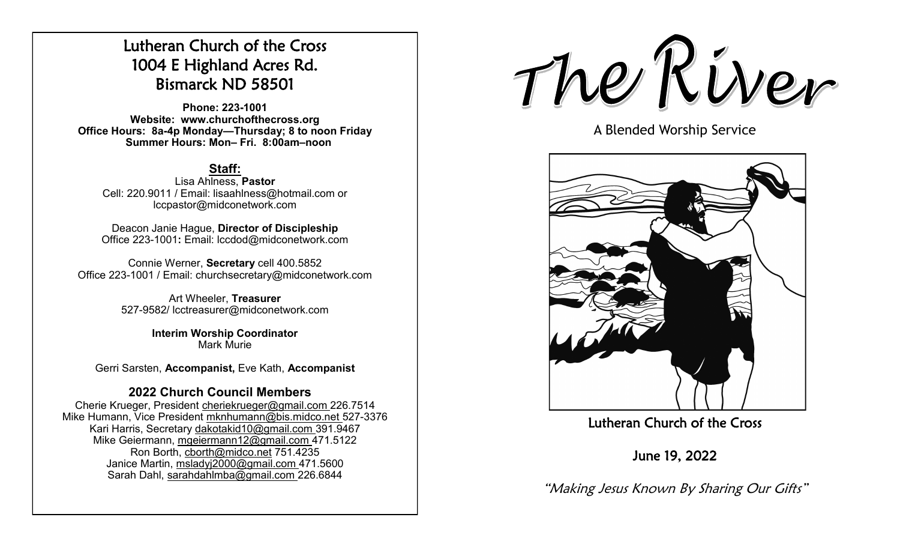# Lutheran Church of the Cross 1004 E Highland Acres Rd. Bismarck ND 58501

**Phone: 223-1001 Website: www.churchofthecross.org Office Hours: 8a-4p Monday—Thursday; 8 to noon Friday Summer Hours: Mon– Fri. 8:00am–noon**

## **Staff:**

Lisa Ahlness, **Pastor** Cell: 220.9011 / Email: lisaahlness@hotmail.com or lccpastor@midconetwork.com

Deacon Janie Hague, **Director of Discipleship** Office 223-1001**:** Email: lccdod@midconetwork.com

Connie Werner, **Secretary** cell 400.5852 Office 223-1001 / Email: churchsecretary@midconetwork.com

> Art Wheeler, **Treasurer** 527-9582/ lcctreasurer@midconetwork.com

> > **Interim Worship Coordinator**  Mark Murie

Gerri Sarsten, **Accompanist,** Eve Kath, **Accompanist**

## **2022 Church Council Members**

Cherie Krueger, President cheriekrueger@gmail.com 226.7514 Mike Humann, Vice President mknhumann@bis.midco.net 527-3376 Kari Harris, Secretary dakotakid10@gmail.com 391.9467 Mike Geiermann, mgeiermann12@gmail.com 471.5122 Ron Borth, [cborth@midco.net](mailto:cborth@midco.net) 751.4235 Janice Martin, msladyj2000@gmail.com 471.5600 Sarah Dahl, sarahdahlmba@gmail.com 226.6844

The River

A Blended Worship Service



Lutheran Church of the Cross

June 19, 2022

"Making Jesus Known By Sharing Our Gifts"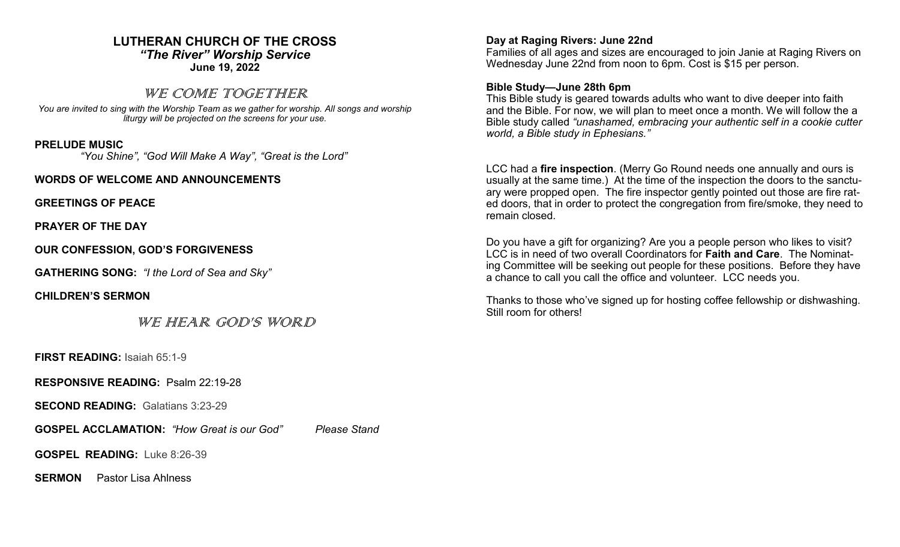#### **LUTHERAN CHURCH OF THE CROSS** *"The River" Worship Service* **June 19, 2022**

### WE COME TOGETHER

*You are invited to sing with the Worship Team as we gather for worship. All songs and worship liturgy will be projected on the screens for your use.* 

#### **PRELUDE MUSIC**

*"You Shine", "God Will Make A Way", "Great is the Lord"*

**WORDS OF WELCOME AND ANNOUNCEMENTS**

**GREETINGS OF PEACE**

**PRAYER OF THE DAY**

**OUR CONFESSION, GOD'S FORGIVENESS**

**GATHERING SONG:** *"I the Lord of Sea and Sky"*

**CHILDREN'S SERMON**

WE HEAR GOD'S WORD

**FIRST READING:** Isaiah 65:1-9

**RESPONSIVE READING:** Psalm 22:19-28

**SECOND READING:** Galatians 3:23-29

**GOSPEL ACCLAMATION:** *"How Great is our God" Please Stand*

**GOSPEL READING:** Luke 8:26-39

**SERMON** Pastor Lisa Ahlness

#### **Day at Raging Rivers: June 22nd**

Families of all ages and sizes are encouraged to join Janie at Raging Rivers on Wednesday June 22nd from noon to 6pm. Cost is \$15 per person.

#### **Bible Study—June 28th 6pm**

This Bible study is geared towards adults who want to dive deeper into faith and the Bible. For now, we will plan to meet once a month. We will follow the a Bible study called *"unashamed, embracing your authentic self in a cookie cutter world, a Bible study in Ephesians."*

LCC had a **fire inspection**. (Merry Go Round needs one annually and ours is usually at the same time.) At the time of the inspection the doors to the sanctuary were propped open. The fire inspector gently pointed out those are fire rated doors, that in order to protect the congregation from fire/smoke, they need to remain closed.

Do you have a gift for organizing? Are you a people person who likes to visit? LCC is in need of two overall Coordinators for **Faith and Care**. The Nominating Committee will be seeking out people for these positions. Before they have a chance to call you call the office and volunteer. LCC needs you.

Thanks to those who've signed up for hosting coffee fellowship or dishwashing. Still room for others!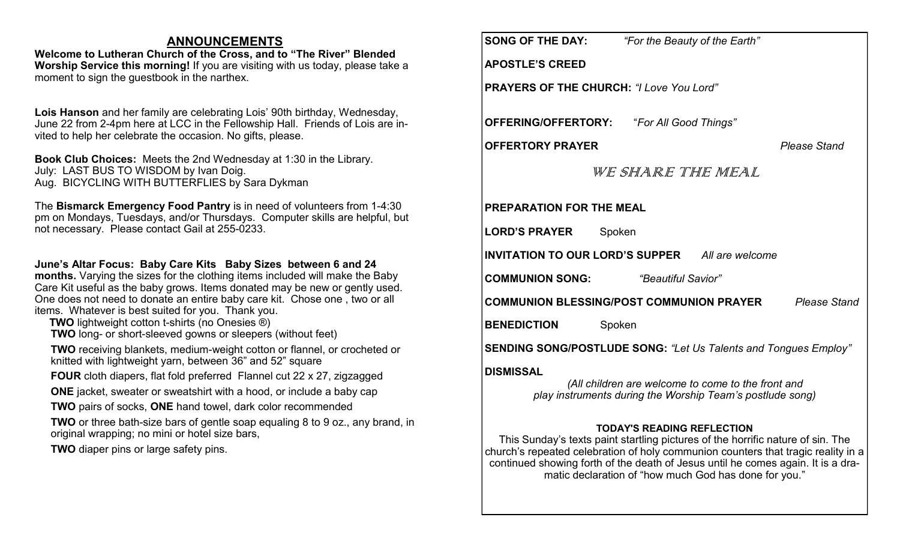### **ANNOUNCEMENTS**

**Welcome to Lutheran Church of the Cross, and to "The River" Blended Worship Service this morning!** If you are visiting with us today, please take a moment to sign the guestbook in the narthex.

**Lois Hanson** and her family are celebrating Lois' 90th birthday, Wednesday, June 22 from 2-4pm here at LCC in the Fellowship Hall. Friends of Lois are invited to help her celebrate the occasion. No gifts, please.

**Book Club Choices:** Meets the 2nd Wednesday at 1:30 in the Library. July: LAST BUS TO WISDOM by Ivan Doig. Aug. BICYCLING WITH BUTTERFLIES by Sara Dykman

The **Bismarck Emergency Food Pantry** is in need of volunteers from 1-4:30 pm on Mondays, Tuesdays, and/or Thursdays. Computer skills are helpful, but not necessary. Please contact Gail at 255-0233.

**June's Altar Focus: Baby Care Kits Baby Sizes between 6 and 24 months.** Varying the sizes for the clothing items included will make the Baby Care Kit useful as the baby grows. Items donated may be new or gently used. One does not need to donate an entire baby care kit. Chose one , two or all items. Whatever is best suited for you. Thank you.

- **TWO** lightweight cotton t-shirts (no Onesies ®)
- **TWO** long- or short-sleeved gowns or sleepers (without feet)

**TWO** receiving blankets, medium-weight cotton or flannel, or crocheted or knitted with lightweight yarn, between 36" and 52" square

**FOUR** cloth diapers, flat fold preferred Flannel cut 22 x 27, zigzagged

**ONE** jacket, sweater or sweatshirt with a hood, or include a baby cap

**TWO** pairs of socks, **ONE** hand towel, dark color recommended

**TWO** or three bath-size bars of gentle soap equaling 8 to 9 oz., any brand, in original wrapping; no mini or hotel size bars,

**TWO** diaper pins or large safety pins.

|                                                           | <b>SONG OF THE DAY:</b><br>"For the Beauty of the Earth"                                                                            |  |  |
|-----------------------------------------------------------|-------------------------------------------------------------------------------------------------------------------------------------|--|--|
|                                                           | <b>APOSTLE'S CREED</b>                                                                                                              |  |  |
|                                                           | <b>PRAYERS OF THE CHURCH: "I Love You Lord"</b>                                                                                     |  |  |
|                                                           |                                                                                                                                     |  |  |
|                                                           | <b>OFFERING/OFFERTORY:</b> "For All Good Things"                                                                                    |  |  |
|                                                           | <b>OFFERTORY PRAYER</b><br><b>Please Stand</b>                                                                                      |  |  |
|                                                           | WE SHARE THE MEAL                                                                                                                   |  |  |
|                                                           |                                                                                                                                     |  |  |
| <b>PREPARATION FOR THE MEAL</b>                           |                                                                                                                                     |  |  |
| <b>LORD'S PRAYER</b><br>Spoken                            |                                                                                                                                     |  |  |
| <b>INVITATION TO OUR LORD'S SUPPER</b><br>All are welcome |                                                                                                                                     |  |  |
|                                                           | <b>COMMUNION SONG:</b><br>"Beautiful Savior"                                                                                        |  |  |
|                                                           | COMMUNION BLESSING/POST COMMUNION PRAYER<br><b>Please Stand</b>                                                                     |  |  |
| <b>BENEDICTION</b><br>Spoken                              |                                                                                                                                     |  |  |
|                                                           | <b>SENDING SONG/POSTLUDE SONG: "Let Us Talents and Tongues Employ"</b>                                                              |  |  |
|                                                           | <b>DISMISSAL</b><br>(All children are welcome to come to the front and<br>play instruments during the Worship Team's postlude song) |  |  |
|                                                           | <b>TODAY'S READING REFLECTION</b><br>This Sunday's texts paint startling pictures of the horrific nature of sin. The                |  |  |

church's repeated celebration of holy communion counters that tragic reality in a continued showing forth of the death of Jesus until he comes again. It is a dramatic declaration of "how much God has done for you."